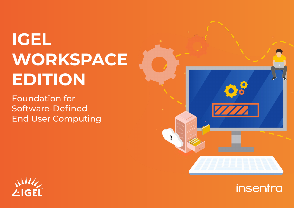# **IGEL WORKSPACE EDITION**

Foundation for Software-Defined End User Computing



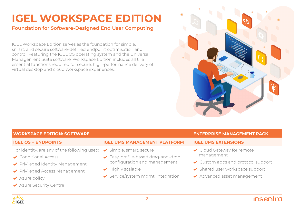# **IGEL WORKSPACE EDITION**

### **Foundation for Software-Designed End User Computing**

IGEL Workspace Edition serves as the foundation for simple, smart, and secure software-defined endpoint optimisation and control. Featuring the IGEL OS operating system and the Universal Management Suite software, Workspace Edition includes all the essential functions required for secure, high-performance delivery of virtual desktop and cloud workspace experiences.



| <b>WORKSPACE EDITION: SOFTWARE</b>           |                                       | <b>ENTERPRISE MANAGEMENT PACK</b>  |
|----------------------------------------------|---------------------------------------|------------------------------------|
| <b>IGEL OS + ENDPOINTS</b>                   | <b>IGEL UMS MANAGEMENT PLATFORM</b>   | <b>IGEL UMS EXTENSIONS</b>         |
| For identity, are any of the following used: | Simple, smart, secure                 | ◆ Cloud Gateway for remote         |
| ◆ Conditional Access                         | Easy, profile-based drag-and-drop     | management                         |
| ◆ Privileged Identity Management             | configuration and management          | ✔ Custom apps and protocol support |
| ◆ Privileged Access Management               | $\blacktriangleright$ Highly scalable | ◆ Shared user workspace support    |
| $\blacktriangleright$ Azure policy           | Service/system mgmt. integration      | ◆ Advanced asset management        |
| Azure Security Centre                        |                                       |                                    |

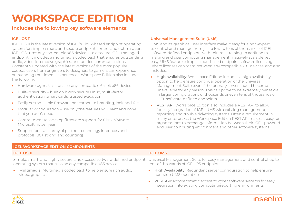## **WORKSPACE EDITION**

### **Includes the following key software elements:**

#### **IGEL OS 11**

IGEL OS 11 is the latest version of IGEL's Linux-based endpoint operating system for simple, smart, and secure endpoint control and optimisation. IGEL OS turns any compatible x86 device into a secure IGEL-managed endpoint. It includes a multimedia codec pack that ensures outstanding audio, video, interactive graphics, and unified communications. Constantly updated with the latest versions of the most popular codecs, users from engineers to designers to gamers can experience outstanding multimedia experiences. Workspace Edition also includes the following:

- Hardware-agnostic runs on any compatible 64-bit x86 device
- Built-in security built on highly secure Linux, multi-factor authentication, smart cards, trusted execution
- Easily customisable firmware per corporate branding, look-and-feel
- Modular configuration use only the features you want and none that you don't need
- Commitment to lockstep firmware support for Citrix, VMware, Microsoft 4x per year
- Support for a vast array of partner technology interfaces and protocols (80+ strong and counting)

#### **Universal Management Suite (UMS)**

UMS and its graphical user interface make it easy for a non-expert to control and manage from just a few to tens of thousands of IGEL software-defined endpoints with minimal training. In addition to making end user computing management massively scalable yet easy, UMS features simple cloud-based endpoint software licensing where licenses can roam between any compatible x86 devices, and also includes:

- High availability: Workspace Edition includes a high availability option to help ensure continual operation of the Universal Management Suite even if the primary server should become unavailable for any reason. This can prove to be extremely beneficial in larger configurations of thousands or even tens of thousands of IGEL software-defined endpoints.
- REST API: Workspace Edition also includes a REST API to allow for easy integration of IGEL UMS with existing management, reporting, and trouble ticketing systems. Often a requirement in many enterprises, the Workspace Edition REST API makes it easy for organisations to exchange information between their IGEL-powered end user computing environment and other software systems.

| <b>IGEL WORKSPACE EDITION COMPONENTS</b>                                                                                                                                                              |                                                                                                                                       |  |
|-------------------------------------------------------------------------------------------------------------------------------------------------------------------------------------------------------|---------------------------------------------------------------------------------------------------------------------------------------|--|
| <b>IGEL OS 11</b>                                                                                                                                                                                     | <b>IGEL UMS</b>                                                                                                                       |  |
| Simple, smart, and highly secure Linux-based software-defined endpoint Universal Management Suite for easy management and control of up to<br>operating system that runs on any compatible x86 device | tens of thousands of IGEL OS endpoints                                                                                                |  |
| Multimedia: Multimedia codec pack to help ensure rich audio,<br>$\bullet$<br>video, graphics                                                                                                          | High Availability: Redundant server configuration to help ensure<br>non-stop UMS operation                                            |  |
|                                                                                                                                                                                                       | <b>REST API:</b> Programmatic access to other software systems for easy<br>integration into existing computing/reporting environments |  |

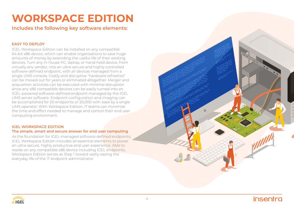## **WORKSPACE EDITION**

**Includes the following key software elements:**

#### **EASY TO DEPLOY**

IGEL Workspace Edition can be installed on any compatible 64-bit x86 device, which can enable organisations to save huge amounts of money by extending the useful life of their existing devices. Turn any in-house PC, laptop, or hand-held device, from virtually any vendor, into an ultra-secure and highly controlled software-defined endpoint, with all devices managed from a single UMS console. Costly and disruptive "hardware refreshes" can be moved out for years or eliminated altogether. Merger and acquisition activities can be executed with minimal disruption since any x86 compatible devices can be easily turned into an IGEL-powered software-defined endpoint managed by the IGEL UMS server software. Endpoint configuration and imaging can be accomplished for 20 endpoints or 20,000 with ease by a single UMS operator. With Workspace Edition, IT teams can minimise the time and effort needed to manage and control their end user computing environment.

#### **IGEL WORKSPACE EDITION The simple, smart and secure answer for end user computing**

As the foundation for IGEL-managed software-defined endpoints, IGEL Workspace Edition includes all essential elements to power an ultra-secure, highly productive end user experience. Able to reside on any compatible x86 device including IGEL endpoints, Workspace Edition serves as Step 1 toward vastly easing the everyday life of the IT endpoint administrator.